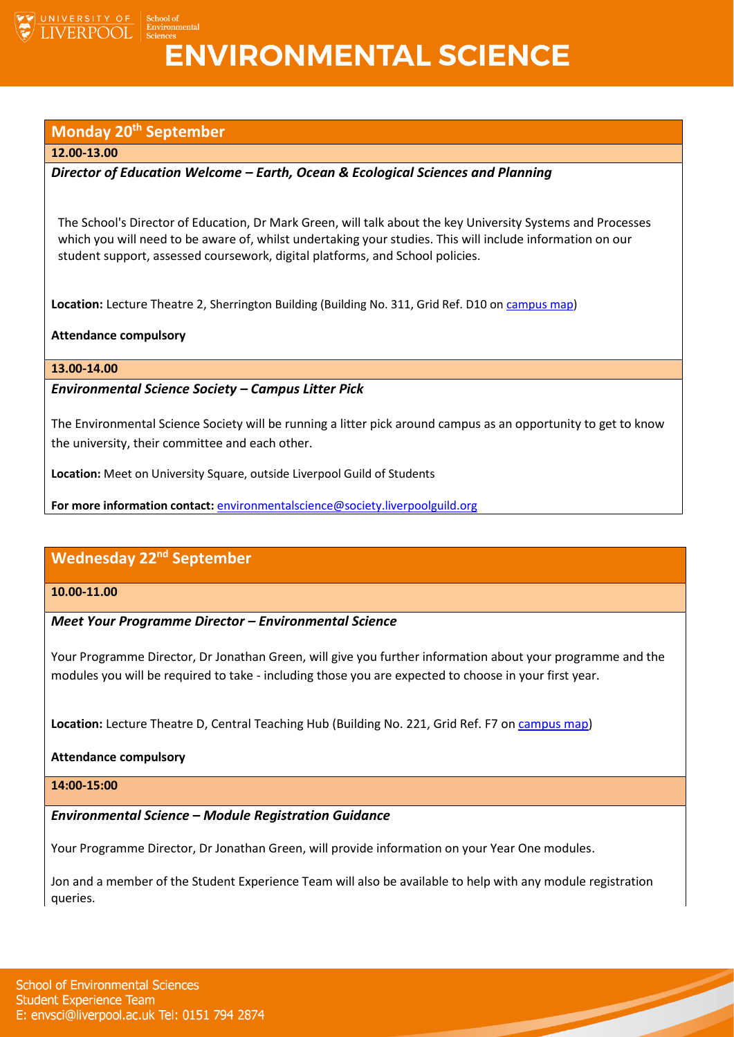

# **ENVIRONMENTAL SCIENCE**

# **Monday 20th September**

#### **12.00-13.00**

INIVERSITY OF **ERPOOL** 

# *Director of Education Welcome – Earth, Ocean & Ecological Sciences and Planning*

The School's Director of Education, Dr Mark Green, will talk about the key University Systems and Processes which you will need to be aware of, whilst undertaking your studies. This will include information on our student support, assessed coursework, digital platforms, and School policies.

**Location:** Lecture Theatre 2, Sherrington Building (Building No. 311, Grid Ref. D10 on [campus map\)](https://www.liverpool.ac.uk/media/livacuk/maps/Campus,Map,2020_0903.pdf)

#### **Attendance compulsory**

#### **13.00-14.00**

### *Environmental Science Society – Campus Litter Pick*

The Environmental Science Society will be running a litter pick around campus as an opportunity to get to know the university, their committee and each other.

**Location:** Meet on University Square, outside Liverpool Guild of Students

**For more information contact:** [environmentalscience@society.liverpoolguild.org](mailto:environmentalscience@society.liverpoolguild.org)

# **Wednesday 22nd September**

# **10.00-11.00**

#### *Meet Your Programme Director – Environmental Science*

Your Programme Director, Dr Jonathan Green, will give you further information about your programme and the modules you will be required to take - including those you are expected to choose in your first year.

**Location:** Lecture Theatre D, Central Teaching Hub (Building No. 221, Grid Ref. F7 o[n campus map\)](https://www.liverpool.ac.uk/media/livacuk/maps/Campus,Map,2020_0903.pdf)

#### **Attendance compulsory**

#### **14:00-15:00**

# *Environmental Science – Module Registration Guidance*

Your Programme Director, Dr Jonathan Green, will provide information on your Year One modules.

Jon and a member of the Student Experience Team will also be available to help with any module registration queries.